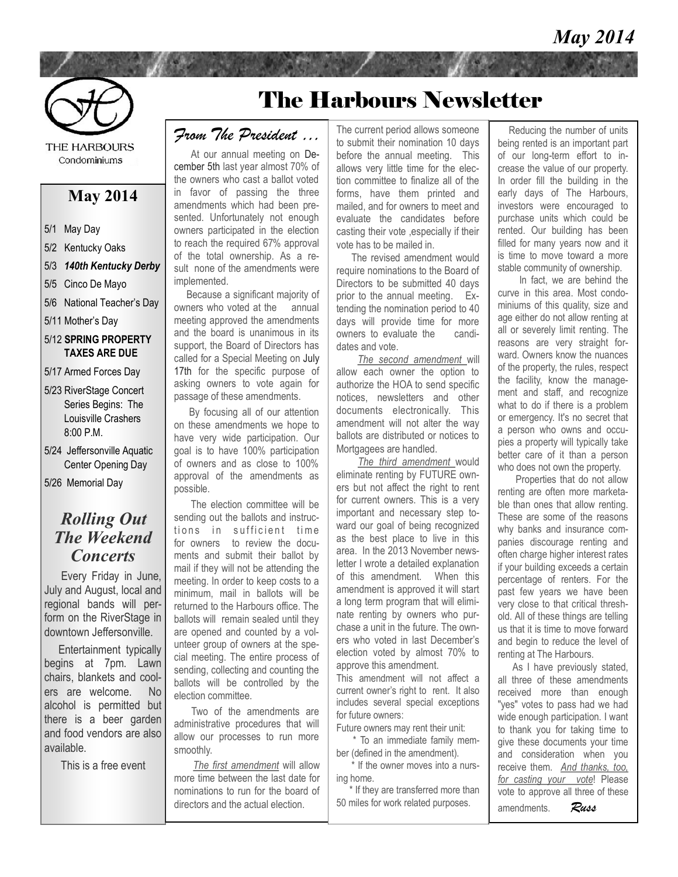

**THE HARBOURS** Condominiums

## **May 2014**

- 5/1 May Day
- 5/2 Kentucky Oaks
- 5/3 *140th Kentucky Derby*
- 5/5 Cinco De Mayo
- 5/6 National Teacher's Day
- 5/11 Mother's Day
- 5/12 **SPRING PROPERTY TAXES ARE DUE**
- 5/17 Armed Forces Day
- 5/23 RiverStage Concert Series Begins: The Louisville Crashers 8:00 P.M.
- 5/24 Jeffersonville Aquatic Center Opening Day
- 5/26 Memorial Day

### *Rolling Out The Weekend Concerts*

 Every Friday in June, July and August, local and regional bands will perform on the RiverStage in downtown Jeffersonville.

 Entertainment typically begins at 7pm. Lawn chairs, blankets and coolers are welcome. No alcohol is permitted but there is a beer garden and food vendors are also available.

This is a free event

# The Harbours Newsletter

## *From The President …*

 At our annual meeting on December 5th last year almost 70% of the owners who cast a ballot voted in favor of passing the three amendments which had been presented. Unfortunately not enough owners participated in the election to reach the required 67% approval of the total ownership. As a result none of the amendments were implemented.

Because a significant majority of owners who voted at the annual meeting approved the amendments and the board is unanimous in its support, the Board of Directors has called for a Special Meeting on July 17th for the specific purpose of asking owners to vote again for passage of these amendments.

 By focusing all of our attention on these amendments we hope to have very wide participation. Our goal is to have 100% participation of owners and as close to 100% approval of the amendments as possible.

The election committee will be sending out the ballots and instructions in sufficient time for owners to review the documents and submit their ballot by mail if they will not be attending the meeting. In order to keep costs to a minimum, mail in ballots will be returned to the Harbours office. The ballots will remain sealed until they are opened and counted by a volunteer group of owners at the special meeting. The entire process of sending, collecting and counting the ballots will be controlled by the election committee.

 Two of the amendments are administrative procedures that will allow our processes to run more smoothly.

*The first amendment* will allow more time between the last date for nominations to run for the board of directors and the actual election.

The current period allows someone to submit their nomination 10 days before the annual meeting. This allows very little time for the election committee to finalize all of the forms, have them printed and mailed, and for owners to meet and evaluate the candidates before casting their vote ,especially if their vote has to be mailed in.

The revised amendment would require nominations to the Board of Directors to be submitted 40 days prior to the annual meeting. Extending the nomination period to 40 days will provide time for more owners to evaluate the candidates and vote.

 *The second amendment* will allow each owner the option to authorize the HOA to send specific notices, newsletters and other documents electronically. This amendment will not alter the way ballots are distributed or notices to Mortgagees are handled.

 *The third amendment* would eliminate renting by FUTURE owners but not affect the right to rent for current owners. This is a very important and necessary step toward our goal of being recognized as the best place to live in this area. In the 2013 November newsletter I wrote a detailed explanation of this amendment. When this amendment is approved it will start a long term program that will eliminate renting by owners who purchase a unit in the future. The owners who voted in last December's election voted by almost 70% to approve this amendment.

This amendment will not affect a current owner's right to rent. It also includes several special exceptions for future owners:

Future owners may rent their unit:

\* To an immediate family member (defined in the amendment).

\* If the owner moves into a nursing home.

\* If they are transferred more than 50 miles for work related purposes.

Reducing the number of units being rented is an important part of our long-term effort to increase the value of our property. In order fill the building in the early days of The Harbours, investors were encouraged to purchase units which could be rented. Our building has been filled for many years now and it is time to move toward a more stable community of ownership.

In fact, we are behind the curve in this area. Most condominiums of this quality, size and age either do not allow renting at all or severely limit renting. The reasons are very straight forward. Owners know the nuances of the property, the rules, respect the facility, know the management and staff, and recognize what to do if there is a problem or emergency. It's no secret that a person who owns and occupies a property will typically take better care of it than a person who does not own the property.

Properties that do not allow renting are often more marketable than ones that allow renting. These are some of the reasons why banks and insurance companies discourage renting and often charge higher interest rates if your building exceeds a certain percentage of renters. For the past few years we have been very close to that critical threshold. All of these things are telling us that it is time to move forward and begin to reduce the level of renting at The Harbours.

 As I have previously stated, all three of these amendments received more than enough "yes" votes to pass had we had wide enough participation. I want to thank you for taking time to give these documents your time and consideration when you receive them. *And thanks, too, for casting your vote*! Please vote to approve all three of these

amendments. *Russ*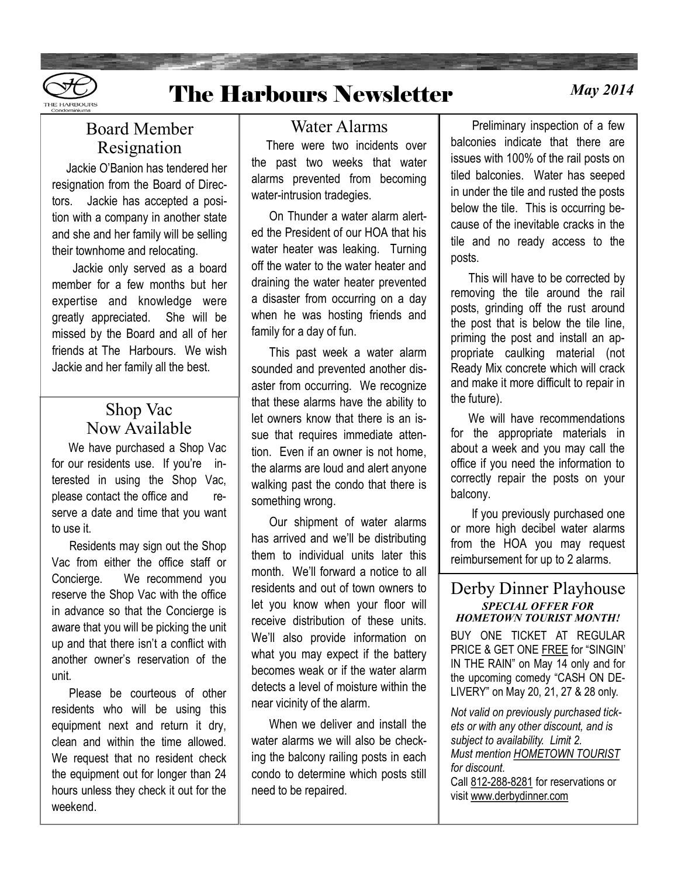

# The Harbours Newsletter *May 2014*

## Board Member Resignation

 Jackie O'Banion has tendered her resignation from the Board of Directors. Jackie has accepted a position with a company in another state and she and her family will be selling their townhome and relocating.

 Jackie only served as a board member for a few months but her expertise and knowledge were greatly appreciated. She will be missed by the Board and all of her friends at The Harbours. We wish Jackie and her family all the best.

## Shop Vac Now Available

We have purchased a Shop Vac for our residents use. If you're interested in using the Shop Vac, please contact the office and reserve a date and time that you want to use it.

 Residents may sign out the Shop Vac from either the office staff or Concierge. We recommend you reserve the Shop Vac with the office in advance so that the Concierge is aware that you will be picking the unit up and that there isn't a conflict with another owner's reservation of the unit.

 Please be courteous of other residents who will be using this equipment next and return it dry, clean and within the time allowed. We request that no resident check the equipment out for longer than 24 hours unless they check it out for the weekend.

### Water Alarms

 There were two incidents over the past two weeks that water alarms prevented from becoming water-intrusion tradegies.

 On Thunder a water alarm alerted the President of our HOA that his water heater was leaking. Turning off the water to the water heater and draining the water heater prevented a disaster from occurring on a day when he was hosting friends and family for a day of fun.

 This past week a water alarm sounded and prevented another disaster from occurring. We recognize that these alarms have the ability to let owners know that there is an issue that requires immediate attention. Even if an owner is not home, the alarms are loud and alert anyone walking past the condo that there is something wrong.

 Our shipment of water alarms has arrived and we'll be distributing them to individual units later this month. We'll forward a notice to all residents and out of town owners to let you know when your floor will receive distribution of these units. We'll also provide information on what you may expect if the battery becomes weak or if the water alarm detects a level of moisture within the near vicinity of the alarm.

 When we deliver and install the water alarms we will also be checking the balcony railing posts in each condo to determine which posts still need to be repaired.

 Preliminary inspection of a few balconies indicate that there are issues with 100% of the rail posts on tiled balconies. Water has seeped in under the tile and rusted the posts below the tile. This is occurring because of the inevitable cracks in the tile and no ready access to the posts.

 This will have to be corrected by removing the tile around the rail posts, grinding off the rust around the post that is below the tile line, priming the post and install an appropriate caulking material (not Ready Mix concrete which will crack and make it more difficult to repair in the future).

 We will have recommendations for the appropriate materials in about a week and you may call the office if you need the information to correctly repair the posts on your balcony.

 If you previously purchased one or more high decibel water alarms from the HOA you may request reimbursement for up to 2 alarms.

#### Derby Dinner Playhouse *SPECIAL OFFER FOR HOMETOWN TOURIST MONTH!*

BUY ONE TICKET AT REGULAR PRICE & GET ONE FREE for "SINGIN' IN THE RAIN" on May 14 only and for the upcoming comedy "CASH ON DE-LIVERY" on May 20, 21, 27 & 28 only.

*Not valid on previously purchased tickets or with any other discount, and is subject to availability. Limit 2. Must mention HOMETOWN TOURIST for discount.* 

Call [812-288-8281](tel:812-288-8281) for reservations or visit [www.derbydinner.com](http://www.derbydinner.com/)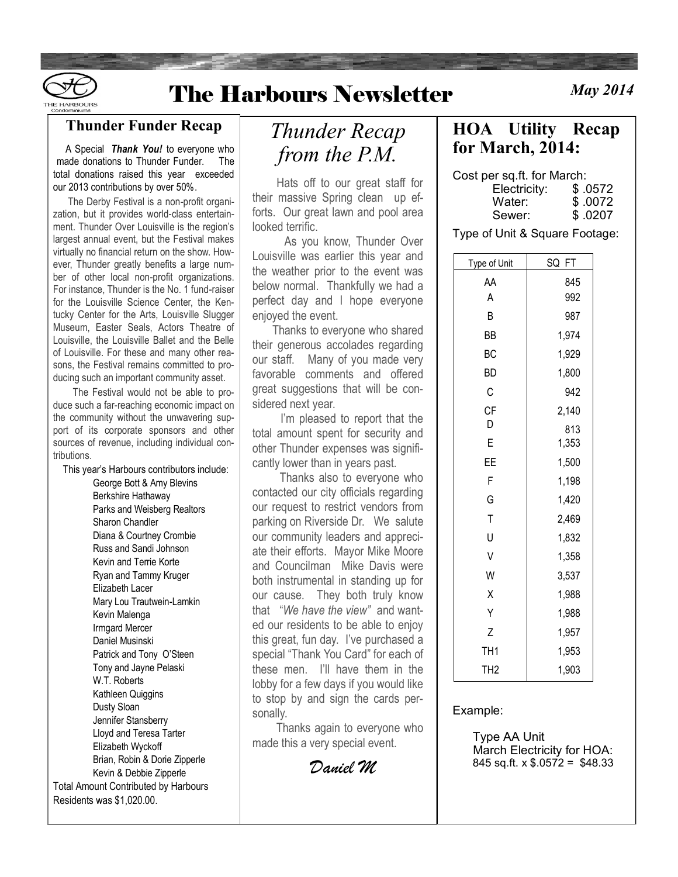

## **The Harbours Newsletter**

**May 2014** 

#### **Thunder Funder Recap**

 A Special *Thank You!* to everyone who made donations to Thunder Funder. The total donations raised this year exceeded our 2013 contributions by over 50%.

 The Derby Festival is a non-profit organization, but it provides world-class entertainment. Thunder Over Louisville is the region's largest annual event, but the Festival makes virtually no financial return on the show. However, Thunder greatly benefits a large number of other local non-profit organizations. For instance, Thunder is the No. 1 fund-raiser for the Louisville Science Center, the Kentucky Center for the Arts, Louisville Slugger Museum, Easter Seals, Actors Theatre of Louisville, the Louisville Ballet and the Belle of Louisville. For these and many other reasons, the Festival remains committed to producing such an important community asset.

 The Festival would not be able to produce such a far-reaching economic impact on the community without the unwavering support of its corporate sponsors and other sources of revenue, including individual contributions.

This year's Harbours contributors include:

George Bott & Amy Blevins Berkshire Hathaway Parks and Weisberg Realtors Sharon Chandler Diana & Courtney Crombie Russ and Sandi Johnson Kevin and Terrie Korte Ryan and Tammy Kruger Elizabeth Lacer Mary Lou Trautwein-Lamkin Kevin Malenga Irmgard Mercer Daniel Musinski Patrick and Tony O'Steen Tony and Jayne Pelaski W.T. Roberts Kathleen Quiggins Dusty Sloan Jennifer Stansberry Lloyd and Teresa Tarter Elizabeth Wyckoff Brian, Robin & Dorie Zipperle Kevin & Debbie Zipperle Total Amount Contributed by Harbours Residents was \$1,020.00.

## *Thunder Recap from the P.M.*

 Hats off to our great staff for their massive Spring clean up efforts. Our great lawn and pool area looked terrific.

 As you know, Thunder Over Louisville was earlier this year and the weather prior to the event was below normal. Thankfully we had a perfect day and I hope everyone enjoyed the event.

 Thanks to everyone who shared their generous accolades regarding our staff. Many of you made very favorable comments and offered great suggestions that will be considered next year.

 I'm pleased to report that the total amount spent for security and other Thunder expenses was significantly lower than in years past.

 Thanks also to everyone who contacted our city officials regarding our request to restrict vendors from parking on Riverside Dr. We salute our community leaders and appreciate their efforts. Mayor Mike Moore and Councilman Mike Davis were both instrumental in standing up for our cause. They both truly know that "*We have the view"* and wanted our residents to be able to enjoy this great, fun day. I've purchased a special "Thank You Card" for each of these men. I'll have them in the lobby for a few days if you would like to stop by and sign the cards personally.

 Thanks again to everyone who made this a very special event.

*Daniel M* 

## **HOA Utility Recap for March, 2014:**

Cost per sq.ft. for March:

| \$.0572  |
|----------|
| \$ .0072 |
| \$ .0207 |
|          |

Type of Unit & Square Footage:

| Type of Unit    | SQ FT |
|-----------------|-------|
| AA              | 845   |
| Α               | 992   |
| B               | 987   |
| BB              | 1,974 |
| BC              | 1,929 |
| <b>BD</b>       | 1,800 |
| C               | 942   |
| CF              | 2,140 |
| D               | 813   |
| E               | 1,353 |
| ΕE              | 1,500 |
| F               | 1,198 |
| G               | 1,420 |
| T               | 2,469 |
| U               | 1,832 |
| V               | 1,358 |
| W               | 3,537 |
| X               | 1,988 |
| Υ               | 1,988 |
| Z               | 1,957 |
| TH <sub>1</sub> | 1,953 |
| TH <sub>2</sub> | 1,903 |

Example:

 Type AA Unit March Electricity for HOA: 845 sq.ft.  $x$  \$.0572 = \$48.33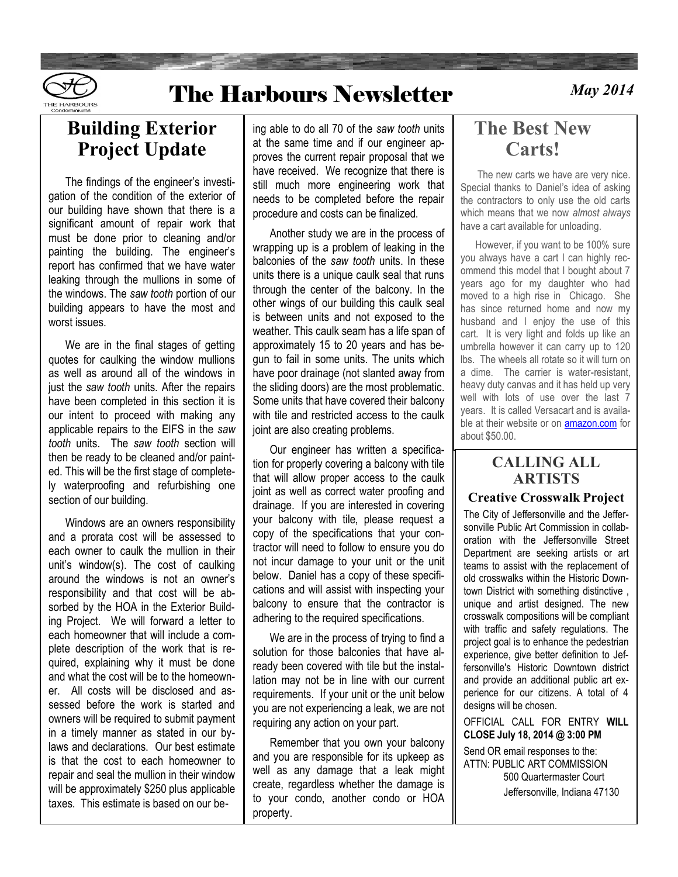

# **The Harbours Newsletter**

**May 2014** 

## **Building Exterior Project Update**

 The findings of the engineer's investigation of the condition of the exterior of our building have shown that there is a significant amount of repair work that must be done prior to cleaning and/or painting the building. The engineer's report has confirmed that we have water leaking through the mullions in some of the windows. The *saw tooth* portion of our building appears to have the most and worst issues.

 We are in the final stages of getting quotes for caulking the window mullions as well as around all of the windows in just the *saw tooth* units. After the repairs have been completed in this section it is our intent to proceed with making any applicable repairs to the EIFS in the *saw tooth* units. The *saw tooth* section will then be ready to be cleaned and/or painted. This will be the first stage of completely waterproofing and refurbishing one section of our building.

 Windows are an owners responsibility and a prorata cost will be assessed to each owner to caulk the mullion in their unit's window(s). The cost of caulking around the windows is not an owner's responsibility and that cost will be absorbed by the HOA in the Exterior Building Project. We will forward a letter to each homeowner that will include a complete description of the work that is required, explaining why it must be done and what the cost will be to the homeowner. All costs will be disclosed and assessed before the work is started and owners will be required to submit payment in a timely manner as stated in our bylaws and declarations. Our best estimate is that the cost to each homeowner to repair and seal the mullion in their window will be approximately \$250 plus applicable taxes. This estimate is based on our being able to do all 70 of the *saw tooth* units at the same time and if our engineer approves the current repair proposal that we have received. We recognize that there is still much more engineering work that needs to be completed before the repair procedure and costs can be finalized.

 Another study we are in the process of wrapping up is a problem of leaking in the balconies of the *saw tooth* units. In these units there is a unique caulk seal that runs through the center of the balcony. In the other wings of our building this caulk seal is between units and not exposed to the weather. This caulk seam has a life span of approximately 15 to 20 years and has begun to fail in some units. The units which have poor drainage (not slanted away from the sliding doors) are the most problematic. Some units that have covered their balcony with tile and restricted access to the caulk joint are also creating problems.

 Our engineer has written a specification for properly covering a balcony with tile that will allow proper access to the caulk joint as well as correct water proofing and drainage. If you are interested in covering your balcony with tile, please request a copy of the specifications that your contractor will need to follow to ensure you do not incur damage to your unit or the unit below. Daniel has a copy of these specifications and will assist with inspecting your balcony to ensure that the contractor is adhering to the required specifications.

 We are in the process of trying to find a solution for those balconies that have already been covered with tile but the installation may not be in line with our current requirements. If your unit or the unit below you are not experiencing a leak, we are not requiring any action on your part.

 Remember that you own your balcony and you are responsible for its upkeep as well as any damage that a leak might create, regardless whether the damage is to your condo, another condo or HOA property.

## **The Best New Carts!**

 The new carts we have are very nice. Special thanks to Daniel's idea of asking the contractors to only use the old carts which means that we now *almost always*  have a cart available for unloading.

 However, if you want to be 100% sure you always have a cart I can highly recommend this model that I bought about 7 years ago for my daughter who had moved to a high rise in Chicago. She has since returned home and now my husband and I enjoy the use of this cart. It is very light and folds up like an umbrella however it can carry up to 120 lbs. The wheels all rotate so it will turn on a dime. The carrier is water-resistant, heavy duty canvas and it has held up very well with lots of use over the last 7 years. It is called Versacart and is available at their website or on **[amazon.com](http://amazon.com/)** for about \$50.00.

#### **CALLING ALL ARTISTS**

#### **Creative Crosswalk Project**

The City of Jeffersonville and the Jeffersonville Public Art Commission in collaboration with the Jeffersonville Street Department are seeking artists or art teams to assist with the replacement of old crosswalks within the Historic Downtown District with something distinctive , unique and artist designed. The new crosswalk compositions will be compliant with traffic and safety regulations. The project goal is to enhance the pedestrian experience, give better definition to Jeffersonville's Historic Downtown district and provide an additional public art experience for our citizens. A total of 4 designs will be chosen.

OFFICIAL CALL FOR ENTRY **WILL CLOSE July 18, 2014 @ 3:00 PM**

Send OR email responses to the: ATTN: PUBLIC ART COMMISSION 500 Quartermaster Court Jeffersonville, Indiana 47130